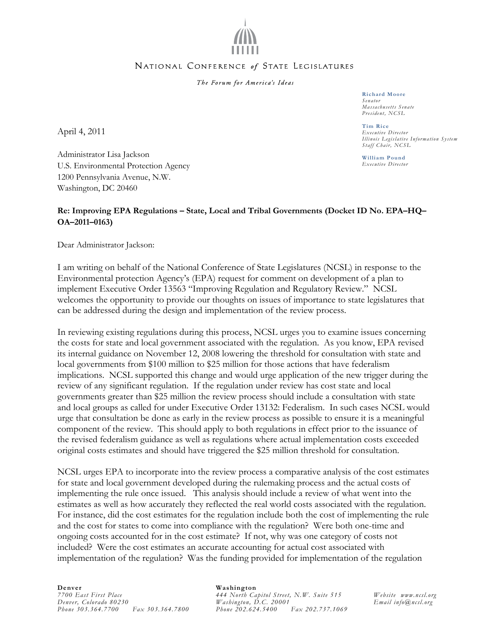

## NATIONAL CONFERENCE of STATE LEGISLATURES

The Forum for America's Ideas

**Richard Moore**  *Senator Massachusetts Senate President, NCSL* 

**Tim Rice**  *Executive Director Illinois Legislative Information System Staff Chair, NCSL* 

**William Pound**  *Executive Director* 

April 4, 2011

Administrator Lisa Jackson U.S. Environmental Protection Agency 1200 Pennsylvania Avenue, N.W. Washington, DC 20460

## **Re: Improving EPA Regulations – State, Local and Tribal Governments (Docket ID No. EPA–HQ– OA–2011–0163)**

Dear Administrator Jackson:

I am writing on behalf of the National Conference of State Legislatures (NCSL) in response to the Environmental protection Agency's (EPA) request for comment on development of a plan to implement Executive Order 13563 "Improving Regulation and Regulatory Review." NCSL welcomes the opportunity to provide our thoughts on issues of importance to state legislatures that can be addressed during the design and implementation of the review process.

In reviewing existing regulations during this process, NCSL urges you to examine issues concerning the costs for state and local government associated with the regulation. As you know, EPA revised its internal guidance on November 12, 2008 lowering the threshold for consultation with state and local governments from \$100 million to \$25 million for those actions that have federalism implications. NCSL supported this change and would urge application of the new trigger during the review of any significant regulation. If the regulation under review has cost state and local governments greater than \$25 million the review process should include a consultation with state and local groups as called for under Executive Order 13132: Federalism. In such cases NCSL would urge that consultation be done as early in the review process as possible to ensure it is a meaningful component of the review. This should apply to both regulations in effect prior to the issuance of the revised federalism guidance as well as regulations where actual implementation costs exceeded original costs estimates and should have triggered the \$25 million threshold for consultation.

NCSL urges EPA to incorporate into the review process a comparative analysis of the cost estimates for state and local government developed during the rulemaking process and the actual costs of implementing the rule once issued. This analysis should include a review of what went into the estimates as well as how accurately they reflected the real world costs associated with the regulation. For instance, did the cost estimates for the regulation include both the cost of implementing the rule and the cost for states to come into compliance with the regulation? Were both one-time and ongoing costs accounted for in the cost estimate? If not, why was one category of costs not included? Were the cost estimates an accurate accounting for actual cost associated with implementation of the regulation? Was the funding provided for implementation of the regulation

## **Denver**  *7700 East First Place Denver, Colorado 80230 Phone 303.364.7700 Fax 303.364.7800*

## **Washington**

*444 North Capitol Street, N.W. Suite 515 Washington, D.C. 20001 Phone 202.624.5400 Fax 202.737.1069* 

*Website www.ncsl.org Email info@ncsl.org*